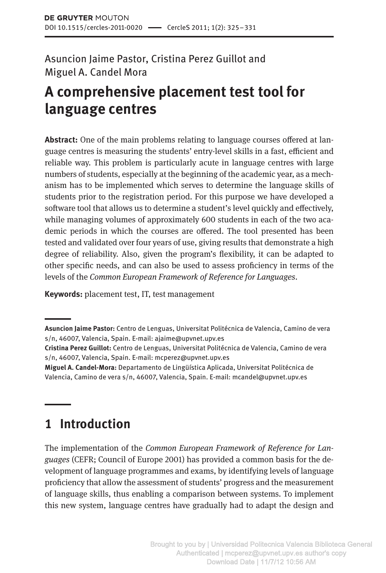Asuncion Jaime Pastor, Cristina Perez Guillot and Miguel A. Candel Mora

# **A comprehensive placement test tool for language centres**

**Abstract:** One of the main problems relating to language courses offered at language centres is measuring the students' entry-level skills in a fast, efficient and reliable way. This problem is particularly acute in language centres with large numbers of students, especially at the beginning of the academic year, as a mechanism has to be implemented which serves to determine the language skills of students prior to the registration period. For this purpose we have developed a software tool that allows us to determine a student's level quickly and effectively, while managing volumes of approximately 600 students in each of the two academic periods in which the courses are offered. The tool presented has been tested and validated over four years of use, giving results that demonstrate a high degree of reliability. Also, given the program's flexibility, it can be adapted to other specific needs, and can also be used to assess proficiency in terms of the levels of the *Common European Framework of Reference for Languages*.

**Keywords:** placement test, IT, test management

## **1 Introduction**

The implementation of the *Common European Framework of Reference for Languages* (CEFR; Council of Europe 2001) has provided a common basis for the development of language programmes and exams, by identifying levels of language proficiency that allow the assessment of students' progress and the measurement of language skills, thus enabling a comparison between systems. To implement this new system, language centres have gradually had to adapt the design and

**Asuncion Jaime Pastor:** Centro de Lenguas, Universitat Politécnica de Valencia, Camino de vera s/n, 46007, Valencia, Spain. E-mail: ajaime@upvnet.upv.es

**Cristina Perez Guillot:** Centro de Lenguas, Universitat Politécnica de Valencia, Camino de vera s/n, 46007, Valencia, Spain. E-mail: mcperez@upvnet.upv.es

**Miguel A. Candel-Mora:** Departamento de Lingüística Aplicada, Universitat Politécnica de Valencia, Camino de vera s/n, 46007, Valencia, Spain. E-mail: mcandel@upvnet.upv.es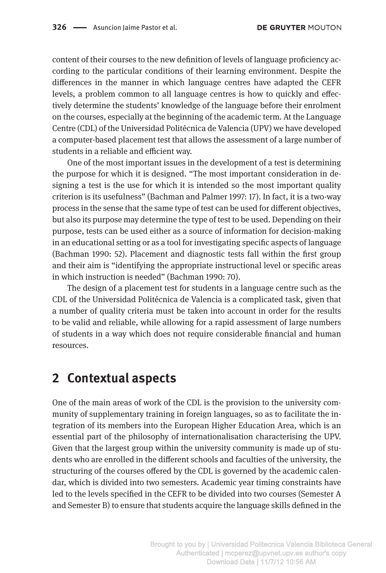content of their courses to the new definition of levels of language proficiency according to the particular conditions of their learning environment. Despite the differences in the manner in which language centres have adapted the CEFR levels, a problem common to all language centres is how to quickly and effectively determine the students' knowledge of the language before their enrolment on the courses, especially at the beginning of the academic term. At the Language Centre (CDL) of the Universidad Politécnica de Valencia (UPV) we have developed a computer-based placement test that allows the assessment of a large number of students in a reliable and efficient way.

One of the most important issues in the development of a test is determining the purpose for which it is designed. "The most important consideration in designing a test is the use for which it is intended so the most important quality criterion is its usefulness" (Bachman and Palmer 1997: 17). In fact, it is a two-way process in the sense that the same type of test can be used for different objectives, but also its purpose may determine the type of test to be used. Depending on their purpose, tests can be used either as a source of information for decision-making in an educational setting or as a tool for investigating specific aspects of language (Bachman 1990: 52). Placement and diagnostic tests fall within the first group and their aim is "identifying the appropriate instructional level or specific areas in which instruction is needed" (Bachman 1990: 70).

The design of a placement test for students in a language centre such as the CDL of the Universidad Politécnica de Valencia is a complicated task, given that a number of quality criteria must be taken into account in order for the results to be valid and reliable, while allowing for a rapid assessment of large numbers of students in a way which does not require considerable financial and human resources.

#### **2 Contextual aspects**

One of the main areas of work of the CDL is the provision to the university community of supplementary training in foreign languages, so as to facilitate the integration of its members into the European Higher Education Area, which is an essential part of the philosophy of internationalisation characterising the UPV. Given that the largest group within the university community is made up of students who are enrolled in the different schools and faculties of the university, the structuring of the courses offered by the CDL is governed by the academic calendar, which is divided into two semesters. Academic year timing constraints have led to the levels specified in the CEFR to be divided into two courses (Semester A and Semester B) to ensure that students acquire the language skills defined in the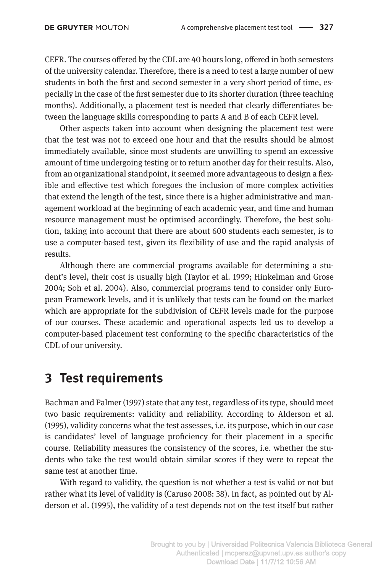CEFR. The courses offered by the CDL are 40 hours long, offered in both semesters of the university calendar. Therefore, there is a need to test a large number of new students in both the first and second semester in a very short period of time, especially in the case of the first semester due to its shorter duration (three teaching months). Additionally, a placement test is needed that clearly differentiates between the language skills corresponding to parts A and B of each CEFR level.

Other aspects taken into account when designing the placement test were that the test was not to exceed one hour and that the results should be almost immediately available, since most students are unwilling to spend an excessive amount of time undergoing testing or to return another day for their results. Also, from an organizational standpoint, it seemed more advantageous to design a flexible and effective test which foregoes the inclusion of more complex activities that extend the length of the test, since there is a higher administrative and management workload at the beginning of each academic year, and time and human resource management must be optimised accordingly. Therefore, the best solution, taking into account that there are about 600 students each semester, is to use a computer-based test, given its flexibility of use and the rapid analysis of results.

Although there are commercial programs available for determining a student's level, their cost is usually high (Taylor et al. 1999; Hinkelman and Grose 2004; Soh et al. 2004). Also, commercial programs tend to consider only European Framework levels, and it is unlikely that tests can be found on the market which are appropriate for the subdivision of CEFR levels made for the purpose of our courses. These academic and operational aspects led us to develop a computer-based placement test conforming to the specific characteristics of the CDL of our university.

#### **3 Test requirements**

Bachman and Palmer (1997) state that any test, regardless of its type, should meet two basic requirements: validity and reliability. According to Alderson et al. (1995), validity concerns what the test assesses, i.e. its purpose, which in our case is candidates' level of language proficiency for their placement in a specific course. Reliability measures the consistency of the scores, i.e. whether the students who take the test would obtain similar scores if they were to repeat the same test at another time.

With regard to validity, the question is not whether a test is valid or not but rather what its level of validity is (Caruso 2008: 38). In fact, as pointed out by Alderson et al. (1995), the validity of a test depends not on the test itself but rather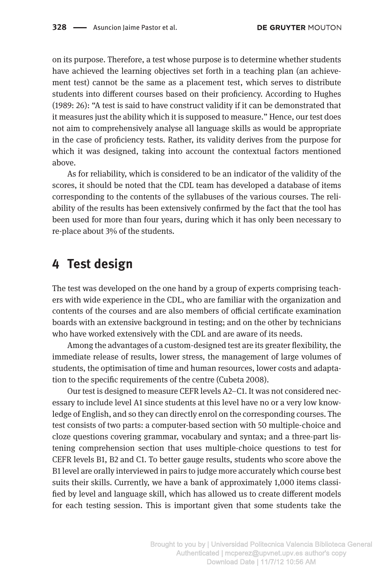on its purpose. Therefore, a test whose purpose is to determine whether students have achieved the learning objectives set forth in a teaching plan (an achievement test) cannot be the same as a placement test, which serves to distribute students into different courses based on their proficiency. According to Hughes (1989: 26): "A test is said to have construct validity if it can be demonstrated that it measures just the ability which it is supposed to measure." Hence, our test does not aim to comprehensively analyse all language skills as would be appropriate in the case of proficiency tests. Rather, its validity derives from the purpose for which it was designed, taking into account the contextual factors mentioned above.

As for reliability, which is considered to be an indicator of the validity of the scores, it should be noted that the CDL team has developed a database of items corresponding to the contents of the syllabuses of the various courses. The reliability of the results has been extensively confirmed by the fact that the tool has been used for more than four years, during which it has only been necessary to re-place about 3% of the students.

#### **4 Test design**

The test was developed on the one hand by a group of experts comprising teachers with wide experience in the CDL, who are familiar with the organization and contents of the courses and are also members of official certificate examination boards with an extensive background in testing; and on the other by technicians who have worked extensively with the CDL and are aware of its needs.

Among the advantages of a custom-designed test are its greater flexibility, the immediate release of results, lower stress, the management of large volumes of students, the optimisation of time and human resources, lower costs and adaptation to the specific requirements of the centre (Cubeta 2008).

Our test is designed to measure CEFR levels A2–C1. It was not considered necessary to include level A1 since students at this level have no or a very low knowledge of English, and so they can directly enrol on the corresponding courses. The test consists of two parts: a computer-based section with 50 multiple-choice and cloze questions covering grammar, vocabulary and syntax; and a three-part listening comprehension section that uses multiple-choice questions to test for CEFR levels B1, B2 and C1. To better gauge results, students who score above the B1 level are orally interviewed in pairs to judge more accurately which course best suits their skills. Currently, we have a bank of approximately 1,000 items classified by level and language skill, which has allowed us to create different models for each testing session. This is important given that some students take the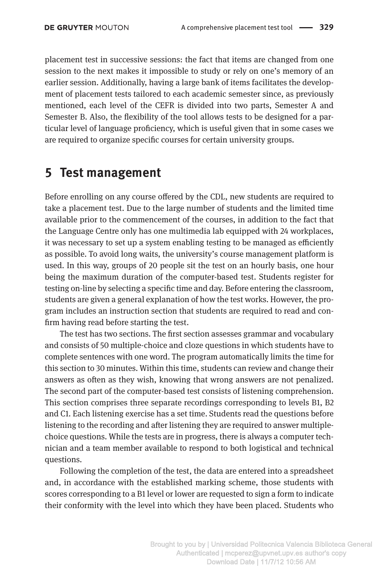placement test in successive sessions: the fact that items are changed from one session to the next makes it impossible to study or rely on one's memory of an earlier session. Additionally, having a large bank of items facilitates the development of placement tests tailored to each academic semester since, as previously mentioned, each level of the CEFR is divided into two parts, Semester A and Semester B. Also, the flexibility of the tool allows tests to be designed for a particular level of language proficiency, which is useful given that in some cases we are required to organize specific courses for certain university groups.

#### **5 Test management**

Before enrolling on any course offered by the CDL, new students are required to take a placement test. Due to the large number of students and the limited time available prior to the commencement of the courses, in addition to the fact that the Language Centre only has one multimedia lab equipped with 24 workplaces, it was necessary to set up a system enabling testing to be managed as efficiently as possible. To avoid long waits, the university's course management platform is used. In this way, groups of 20 people sit the test on an hourly basis, one hour being the maximum duration of the computer-based test. Students register for testing on-line by selecting a specific time and day. Before entering the classroom, students are given a general explanation of how the test works. However, the program includes an instruction section that students are required to read and confirm having read before starting the test.

The test has two sections. The first section assesses grammar and vocabulary and consists of 50 multiple-choice and cloze questions in which students have to complete sentences with one word. The program automatically limits the time for this section to 30 minutes. Within this time, students can review and change their answers as often as they wish, knowing that wrong answers are not penalized. The second part of the computer-based test consists of listening comprehension. This section comprises three separate recordings corresponding to levels B1, B2 and C1. Each listening exercise has a set time. Students read the questions before listening to the recording and after listening they are required to answer multiplechoice questions. While the tests are in progress, there is always a computer technician and a team member available to respond to both logistical and technical questions.

Following the completion of the test, the data are entered into a spreadsheet and, in accordance with the established marking scheme, those students with scores corresponding to a B1 level or lower are requested to sign a form to indicate their conformity with the level into which they have been placed. Students who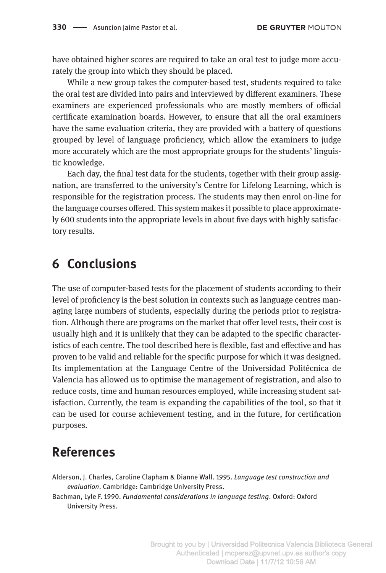have obtained higher scores are required to take an oral test to judge more accurately the group into which they should be placed.

While a new group takes the computer-based test, students required to take the oral test are divided into pairs and interviewed by different examiners. These examiners are experienced professionals who are mostly members of official certificate examination boards. However, to ensure that all the oral examiners have the same evaluation criteria, they are provided with a battery of questions grouped by level of language proficiency, which allow the examiners to judge more accurately which are the most appropriate groups for the students' linguistic knowledge.

Each day, the final test data for the students, together with their group assignation, are transferred to the university's Centre for Lifelong Learning, which is responsible for the registration process. The students may then enrol on-line for the language courses offered. This system makes it possible to place approximately 600 students into the appropriate levels in about five days with highly satisfactory results.

## **6 Conclusions**

The use of computer-based tests for the placement of students according to their level of proficiency is the best solution in contexts such as language centres managing large numbers of students, especially during the periods prior to registration. Although there are programs on the market that offer level tests, their cost is usually high and it is unlikely that they can be adapted to the specific characteristics of each centre. The tool described here is flexible, fast and effective and has proven to be valid and reliable for the specific purpose for which it was designed. Its implementation at the Language Centre of the Universidad Politécnica de Valencia has allowed us to optimise the management of registration, and also to reduce costs, time and human resources employed, while increasing student satisfaction. Currently, the team is expanding the capabilities of the tool, so that it can be used for course achievement testing, and in the future, for certification purposes.

## **References**

Alderson, J. Charles, Caroline Clapham & Dianne Wall. 1995. *Language test construction and evaluation*. Cambridge: Cambridge University Press.

Bachman, Lyle F. 1990. *Fundamental considerations in language testing*. Oxford: Oxford University Press.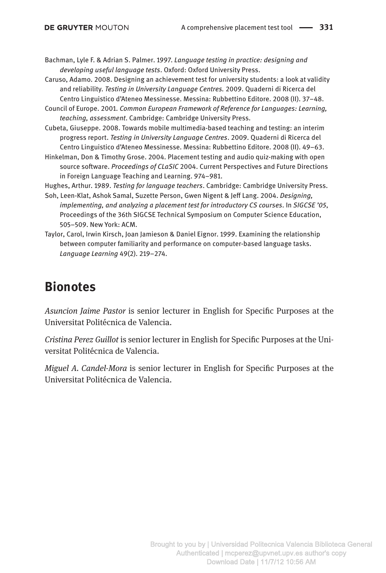Bachman, Lyle F. & Adrian S. Palmer. 1997. *Language testing in practice: designing and developing useful language tests*. Oxford: Oxford University Press.

- Caruso, Adamo. 2008. Designing an achievement test for university students: a look at validity and reliability. *Testing in University Language Centres.* 2009. Quaderni di Ricerca del Centro Linguistico d'Ateneo Messinesse. Messina: Rubbettino Editore. 2008 (II). 37–48.
- Council of Europe. 2001. *Common European Framework of Reference for Languages: Learning, teaching, assessment*. Cambridge: Cambridge University Press.
- Cubeta, Giuseppe. 2008. Towards mobile multimedia-based teaching and testing: an interim progress report. *Testing in University Language Centres*. 2009. Quaderni di Ricerca del Centro Linguistico d'Ateneo Messinesse. Messina: Rubbettino Editore. 2008 (II). 49–63.
- Hinkelman, Don & Timothy Grose. 2004. Placement testing and audio quiz-making with open source software. *Proceedings of CLaSIC* 2004. Current Perspectives and Future Directions in Foreign Language Teaching and Learning. 974–981.

Hughes, Arthur. 1989. *Testing for language teachers*. Cambridge: Cambridge University Press.

- Soh, Leen-Klat, Ashok Samal, Suzette Person, Gwen Nigent & Jeff Lang. 2004. *Designing, implementing, and analyzing a placement test for introductory CS courses*. In *SIGCSE '05*, Proceedings of the 36th SIGCSE Technical Symposium on Computer Science Education, 505–509. New York: ACM.
- Taylor, Carol, Irwin Kirsch, Joan Jamieson & Daniel Eignor. 1999. Examining the relationship between computer familiarity and performance on computer-based language tasks. *Language Learning* 49(2). 219–274.

## **Bionotes**

*Asuncion Jaime Pastor* is senior lecturer in English for Specific Purposes at the Universitat Politécnica de Valencia.

*Cristina Perez Guillot* is senior lecturer in English for Specific Purposes at the Universitat Politécnica de Valencia.

*Miguel A. Candel-Mora* is senior lecturer in English for Specific Purposes at the Universitat Politécnica de Valencia.